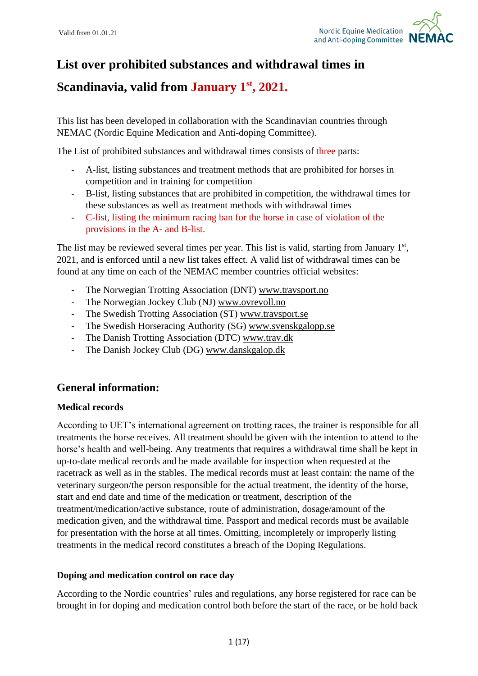

# **List over prohibited substances and withdrawal times in**

**Scandinavia, valid from January 1 st, 2021.**

This list has been developed in collaboration with the Scandinavian countries through NEMAC (Nordic Equine Medication and Anti-doping Committee).

The List of prohibited substances and withdrawal times consists of three parts:

- A-list, listing substances and treatment methods that are prohibited for horses in competition and in training for competition
- B-list, listing substances that are prohibited in competition, the withdrawal times for these substances as well as treatment methods with withdrawal times
- C-list, listing the minimum racing ban for the horse in case of violation of the provisions in the A- and B-list.

The list may be reviewed several times per year. This list is valid, starting from January 1<sup>st</sup>, 2021, and is enforced until a new list takes effect. A valid list of withdrawal times can be found at any time on each of the NEMAC member countries official websites:

- The Norwegian Trotting Association (DNT) [www.travsport.no](http://www.travsport.no/)
- The Norwegian Jockey Club (NJ) [www.ovrevoll.no](http://www.ovrevoll.no/)
- The Swedish Trotting Association (ST) [www.travsport.se](http://www.travsport.se/)
- The Swedish Horseracing Authority (SG) [www.svenskgalopp.se](http://www.svenskgalopp.se/)
- The Danish Trotting Association (DTC) [www.trav.dk](http://www.trav.dk/)
- The Danish Jockey Club (DG) [www.danskgalop.dk](http://www.danskgalop.dk/)

## **General information:**

#### **Medical records**

According to UET's international agreement on trotting races, the trainer is responsible for all treatments the horse receives. All treatment should be given with the intention to attend to the horse's health and well-being. Any treatments that requires a withdrawal time shall be kept in up-to-date medical records and be made available for inspection when requested at the racetrack as well as in the stables. The medical records must at least contain: the name of the veterinary surgeon/the person responsible for the actual treatment, the identity of the horse, start and end date and time of the medication or treatment, description of the treatment/medication/active substance, route of administration, dosage/amount of the medication given, and the withdrawal time. Passport and medical records must be available for presentation with the horse at all times. Omitting, incompletely or improperly listing treatments in the medical record constitutes a breach of the Doping Regulations.

#### **Doping and medication control on race day**

According to the Nordic countries' rules and regulations, any horse registered for race can be brought in for doping and medication control both before the start of the race, or be hold back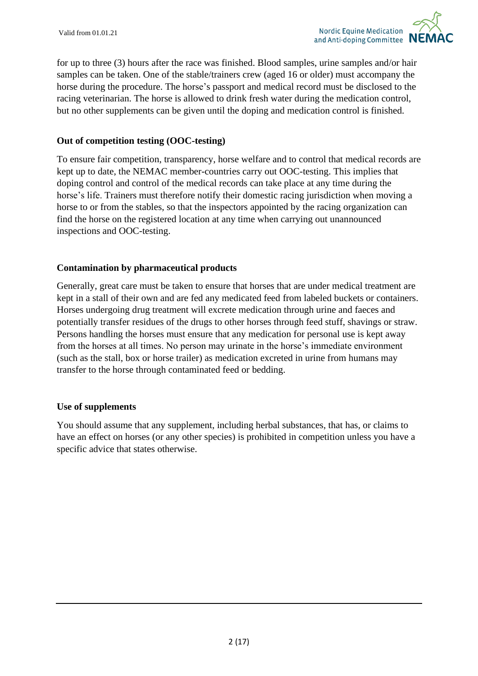for up to three (3) hours after the race was finished. Blood samples, urine samples and/or hair samples can be taken. One of the stable/trainers crew (aged 16 or older) must accompany the horse during the procedure. The horse's passport and medical record must be disclosed to the racing veterinarian. The horse is allowed to drink fresh water during the medication control, but no other supplements can be given until the doping and medication control is finished.

#### **Out of competition testing (OOC-testing)**

To ensure fair competition, transparency, horse welfare and to control that medical records are kept up to date, the NEMAC member-countries carry out OOC-testing. This implies that doping control and control of the medical records can take place at any time during the horse's life. Trainers must therefore notify their domestic racing jurisdiction when moving a horse to or from the stables, so that the inspectors appointed by the racing organization can find the horse on the registered location at any time when carrying out unannounced inspections and OOC-testing.

#### **Contamination by pharmaceutical products**

Generally, great care must be taken to ensure that horses that are under medical treatment are kept in a stall of their own and are fed any medicated feed from labeled buckets or containers. Horses undergoing drug treatment will excrete medication through urine and faeces and potentially transfer residues of the drugs to other horses through feed stuff, shavings or straw. Persons handling the horses must ensure that any medication for personal use is kept away from the horses at all times. No person may urinate in the horse's immediate environment (such as the stall, box or horse trailer) as medication excreted in urine from humans may transfer to the horse through contaminated feed or bedding.

#### **Use of supplements**

You should assume that any supplement, including herbal substances, that has, or claims to have an effect on horses (or any other species) is prohibited in competition unless you have a specific advice that states otherwise.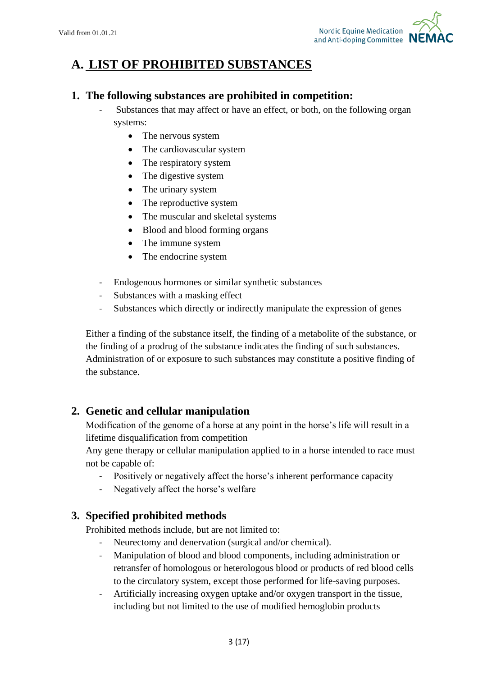

# **A. LIST OF PROHIBITED SUBSTANCES**

## **1. The following substances are prohibited in competition:**

- Substances that may affect or have an effect, or both, on the following organ systems:
	- The nervous system
	- The cardiovascular system
	- The respiratory system
	- The digestive system
	- The urinary system
	- The reproductive system
	- The muscular and skeletal systems
	- Blood and blood forming organs
	- The immune system
	- The endocrine system
- Endogenous hormones or similar synthetic substances
- Substances with a masking effect
- Substances which directly or indirectly manipulate the expression of genes

Either a finding of the substance itself, the finding of a metabolite of the substance, or the finding of a prodrug of the substance indicates the finding of such substances. Administration of or exposure to such substances may constitute a positive finding of the substance.

## **2. Genetic and cellular manipulation**

Modification of the genome of a horse at any point in the horse's life will result in a lifetime disqualification from competition

Any gene therapy or cellular manipulation applied to in a horse intended to race must not be capable of:

- Positively or negatively affect the horse's inherent performance capacity
- Negatively affect the horse's welfare

## **3. Specified prohibited methods**

Prohibited methods include, but are not limited to:

- Neurectomy and denervation (surgical and/or chemical).
- Manipulation of blood and blood components, including administration or retransfer of homologous or heterologous blood or products of red blood cells to the circulatory system, except those performed for life-saving purposes.
- Artificially increasing oxygen uptake and/or oxygen transport in the tissue, including but not limited to the use of modified hemoglobin products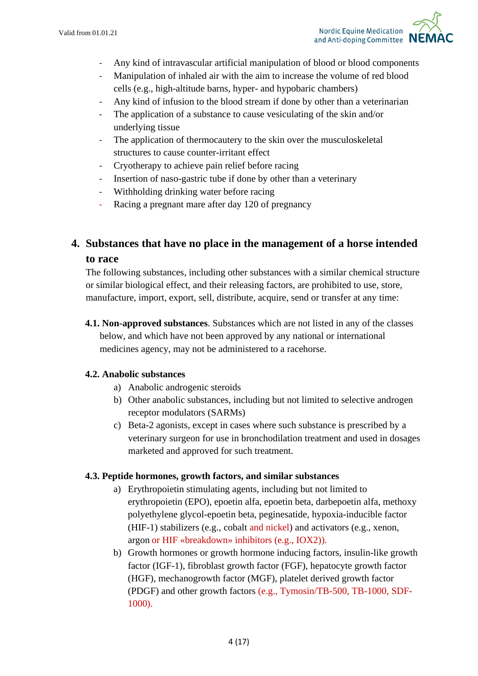

- Any kind of intravascular artificial manipulation of blood or blood components
- Manipulation of inhaled air with the aim to increase the volume of red blood cells (e.g., high-altitude barns, hyper- and hypobaric chambers)
- Any kind of infusion to the blood stream if done by other than a veterinarian
- The application of a substance to cause vesiculating of the skin and/or underlying tissue
- The application of thermocautery to the skin over the musculoskeletal structures to cause counter-irritant effect
- Cryotherapy to achieve pain relief before racing
- Insertion of naso-gastric tube if done by other than a veterinary
- Withholding drinking water before racing
- Racing a pregnant mare after day 120 of pregnancy

## **4. Substances that have no place in the management of a horse intended to race**

The following substances, including other substances with a similar chemical structure or similar biological effect, and their releasing factors, are prohibited to use, store, manufacture, import, export, sell, distribute, acquire, send or transfer at any time:

**4.1. Non-approved substances**. Substances which are not listed in any of the classes below, and which have not been approved by any national or international medicines agency, may not be administered to a racehorse.

#### **4.2. Anabolic substances**

- a) Anabolic androgenic steroids
- b) Other anabolic substances, including but not limited to selective androgen receptor modulators (SARMs)
- c) Beta-2 agonists, except in cases where such substance is prescribed by a veterinary surgeon for use in bronchodilation treatment and used in dosages marketed and approved for such treatment.

#### **4.3. Peptide hormones, growth factors, and similar substances**

- a) Erythropoietin stimulating agents, including but not limited to erythropoietin (EPO), epoetin alfa, epoetin beta, darbepoetin alfa, methoxy polyethylene glycol-epoetin beta, peginesatide, hypoxia-inducible factor (HIF-1) stabilizers (e.g., cobalt and nickel) and activators (e.g., xenon, argon or HIF «breakdown» inhibitors (e.g., IOX2)).
- b) Growth hormones or growth hormone inducing factors, insulin-like growth factor (IGF-1), fibroblast growth factor (FGF), hepatocyte growth factor (HGF), mechanogrowth factor (MGF), platelet derived growth factor (PDGF) and other growth factors (e.g., Tymosin/TB-500, TB-1000, SDF-1000).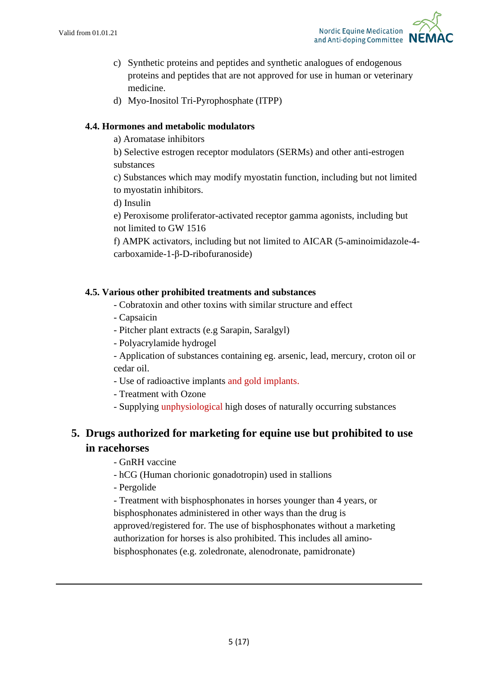

- c) Synthetic proteins and peptides and synthetic analogues of endogenous proteins and peptides that are not approved for use in human or veterinary medicine.
- d) Myo-Inositol Tri-Pyrophosphate (ITPP)

## **4.4. Hormones and metabolic modulators**

a) Aromatase inhibitors

b) Selective estrogen receptor modulators (SERMs) and other anti-estrogen substances

c) Substances which may modify myostatin function, including but not limited to myostatin inhibitors.

d) Insulin

e) Peroxisome proliferator-activated receptor gamma agonists, including but not limited to GW 1516

f) AMPK activators, including but not limited to AICAR (5-aminoimidazole-4 carboxamide-1-β-D-ribofuranoside)

## **4.5. Various other prohibited treatments and substances**

- Cobratoxin and other toxins with similar structure and effect
- Capsaicin
- Pitcher plant extracts (e.g Sarapin, Saralgyl)
- Polyacrylamide hydrogel

- Application of substances containing eg. arsenic, lead, mercury, croton oil or cedar oil.

- Use of radioactive implants and gold implants.
- Treatment with Ozone
- Supplying unphysiological high doses of naturally occurring substances

## **5. Drugs authorized for marketing for equine use but prohibited to use in racehorses**

- GnRH vaccine
- hCG (Human chorionic gonadotropin) used in stallions
- Pergolide

- Treatment with bisphosphonates in horses younger than 4 years, or bisphosphonates administered in other ways than the drug is approved/registered for. The use of bisphosphonates without a marketing authorization for horses is also prohibited. This includes all aminobisphosphonates (e.g. zoledronate, alenodronate, pamidronate)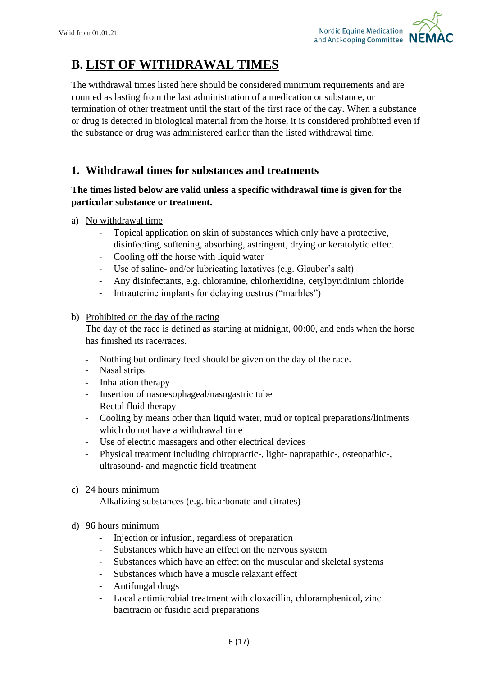

# **B. LIST OF WITHDRAWAL TIMES**

The withdrawal times listed here should be considered minimum requirements and are counted as lasting from the last administration of a medication or substance, or termination of other treatment until the start of the first race of the day. When a substance or drug is detected in biological material from the horse, it is considered prohibited even if the substance or drug was administered earlier than the listed withdrawal time.

## **1. Withdrawal times for substances and treatments**

## **The times listed below are valid unless a specific withdrawal time is given for the particular substance or treatment.**

- a) No withdrawal time
	- Topical application on skin of substances which only have a protective, disinfecting, softening, absorbing, astringent, drying or keratolytic effect
	- Cooling off the horse with liquid water
	- Use of saline- and/or lubricating laxatives (e.g. Glauber's salt)
	- Any disinfectants, e.g. chloramine, chlorhexidine, cetylpyridinium chloride
	- Intrauterine implants for delaying oestrus ("marbles")

#### b) Prohibited on the day of the racing

The day of the race is defined as starting at midnight, 00:00, and ends when the horse has finished its race/races.

- Nothing but ordinary feed should be given on the day of the race.
- Nasal strips
- Inhalation therapy
- Insertion of nasoesophageal/nasogastric tube
- Rectal fluid therapy
- Cooling by means other than liquid water, mud or topical preparations/liniments which do not have a withdrawal time
- Use of electric massagers and other electrical devices
- Physical treatment including chiropractic-, light- naprapathic-, osteopathic-, ultrasound- and magnetic field treatment
- c) 24 hours minimum
	- Alkalizing substances (e.g. bicarbonate and citrates)
- d) 96 hours minimum
	- Injection or infusion, regardless of preparation
	- Substances which have an effect on the nervous system
	- Substances which have an effect on the muscular and skeletal systems
	- Substances which have a muscle relaxant effect
	- Antifungal drugs
	- Local antimicrobial treatment with cloxacillin, chloramphenicol, zinc bacitracin or fusidic acid preparations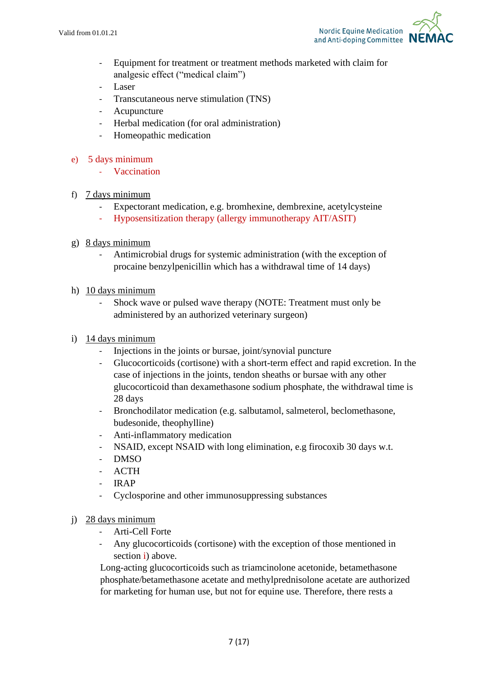

- Equipment for treatment or treatment methods marketed with claim for analgesic effect ("medical claim")
- Laser
- Transcutaneous nerve stimulation (TNS)
- Acupuncture
- Herbal medication (for oral administration)
- Homeopathic medication
- e) 5 days minimum
	- **Vaccination**
- f) 7 days minimum
	- Expectorant medication, e.g. bromhexine, dembrexine, acetylcysteine
	- Hyposensitization therapy (allergy immunotherapy AIT/ASIT)
- g) 8 days minimum
	- Antimicrobial drugs for systemic administration (with the exception of procaine benzylpenicillin which has a withdrawal time of 14 days)
- h) 10 days minimum
	- Shock wave or pulsed wave therapy (NOTE: Treatment must only be administered by an authorized veterinary surgeon)
- i) 14 days minimum
	- Injections in the joints or bursae, joint/synovial puncture
	- Glucocorticoids (cortisone) with a short-term effect and rapid excretion. In the case of injections in the joints, tendon sheaths or bursae with any other glucocorticoid than dexamethasone sodium phosphate, the withdrawal time is 28 days
	- Bronchodilator medication (e.g. salbutamol, salmeterol, beclomethasone, budesonide, theophylline)
	- Anti-inflammatory medication
	- NSAID, except NSAID with long elimination, e.g firocoxib 30 days w.t.
	- DMSO
	- ACTH
	- IRAP
	- Cyclosporine and other immunosuppressing substances
- j) 28 days minimum
	- Arti-Cell Forte
	- Any glucocorticoids (cortisone) with the exception of those mentioned in section i) above.

Long-acting glucocorticoids such as triamcinolone acetonide, betamethasone phosphate/betamethasone acetate and methylprednisolone acetate are authorized for marketing for human use, but not for equine use. Therefore, there rests a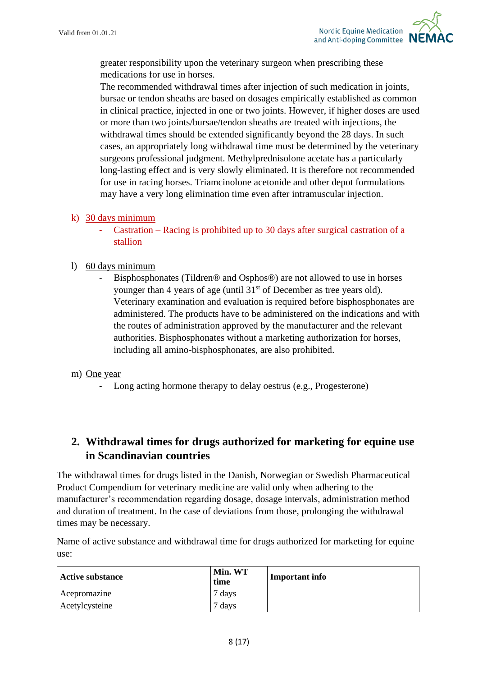

greater responsibility upon the veterinary surgeon when prescribing these medications for use in horses.

The recommended withdrawal times after injection of such medication in joints, bursae or tendon sheaths are based on dosages empirically established as common in clinical practice, injected in one or two joints. However, if higher doses are used or more than two joints/bursae/tendon sheaths are treated with injections, the withdrawal times should be extended significantly beyond the 28 days. In such cases, an appropriately long withdrawal time must be determined by the veterinary surgeons professional judgment. Methylprednisolone acetate has a particularly long-lasting effect and is very slowly eliminated. It is therefore not recommended for use in racing horses. Triamcinolone acetonide and other depot formulations may have a very long elimination time even after intramuscular injection.

- k) 30 days minimum
	- Castration Racing is prohibited up to 30 days after surgical castration of a stallion
- l) 60 days minimum
	- Bisphosphonates (Tildren® and Osphos®) are not allowed to use in horses younger than 4 years of age (until 31<sup>st</sup> of December as tree years old). Veterinary examination and evaluation is required before bisphosphonates are administered. The products have to be administered on the indications and with the routes of administration approved by the manufacturer and the relevant authorities. Bisphosphonates without a marketing authorization for horses, including all amino-bisphosphonates, are also prohibited.

#### m) One year

Long acting hormone therapy to delay oestrus (e.g., Progesterone)

## **2. Withdrawal times for drugs authorized for marketing for equine use in Scandinavian countries**

The withdrawal times for drugs listed in the Danish, Norwegian or Swedish Pharmaceutical Product Compendium for veterinary medicine are valid only when adhering to the manufacturer's recommendation regarding dosage, dosage intervals, administration method and duration of treatment. In the case of deviations from those, prolonging the withdrawal times may be necessary.

Name of active substance and withdrawal time for drugs authorized for marketing for equine use:

| <b>Active substance</b> | Min. WT<br>time | <b>Important info</b> |
|-------------------------|-----------------|-----------------------|
| Acepromazine            | 7 days          |                       |
| Acetylcysteine          | 7 days          |                       |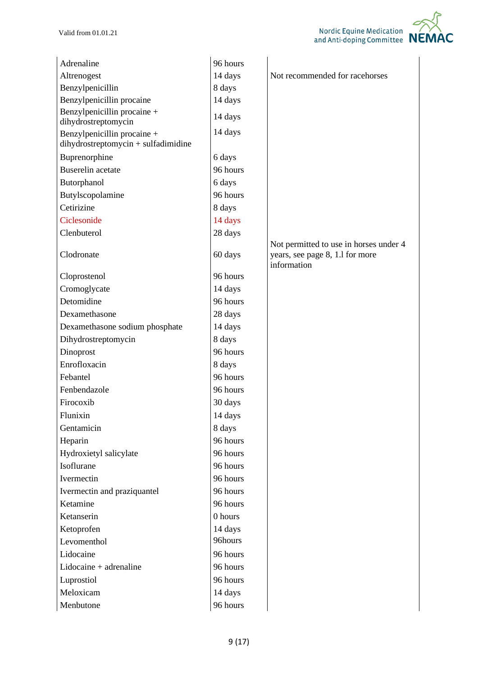| Adrenaline                                | 96 hours           |                                                |
|-------------------------------------------|--------------------|------------------------------------------------|
| Altrenogest                               | 14 days            | Not recommended for racehorses                 |
| Benzylpenicillin                          | 8 days             |                                                |
| Benzylpenicillin procaine                 | 14 days            |                                                |
| Benzylpenicillin procaine +               | 14 days            |                                                |
| dihydrostreptomycin                       |                    |                                                |
| Benzylpenicillin procaine +               | 14 days            |                                                |
| dihydrostreptomycin + sulfadimidine       |                    |                                                |
| Buprenorphine<br><b>Buserelin</b> acetate | 6 days<br>96 hours |                                                |
|                                           |                    |                                                |
| Butorphanol                               | 6 days<br>96 hours |                                                |
| Butylscopolamine<br>Cetirizine            |                    |                                                |
|                                           | 8 days             |                                                |
| Ciclesonide                               | 14 days            |                                                |
| Clenbuterol                               | 28 days            | Not permitted to use in horses under 4         |
| Clodronate                                | 60 days            | years, see page 8, 1.1 for more<br>information |
| Cloprostenol                              | 96 hours           |                                                |
| Cromoglycate                              | 14 days            |                                                |
| Detomidine                                | 96 hours           |                                                |
| Dexamethasone                             | 28 days            |                                                |
| Dexamethasone sodium phosphate            | 14 days            |                                                |
| Dihydrostreptomycin                       | 8 days             |                                                |
| Dinoprost                                 | 96 hours           |                                                |
| Enrofloxacin                              | 8 days             |                                                |
| Febantel                                  | 96 hours           |                                                |
| Fenbendazole                              | 96 hours           |                                                |
| Firocoxib                                 | 30 days            |                                                |
| Flunixin                                  | 14 days            |                                                |
| Gentamicin                                | 8 days             |                                                |
| Heparin                                   | 96 hours           |                                                |
| Hydroxietyl salicylate                    | 96 hours           |                                                |
| Isoflurane                                | 96 hours           |                                                |
| Ivermectin                                | 96 hours           |                                                |
| Ivermectin and praziquantel               | 96 hours           |                                                |
| Ketamine                                  | 96 hours           |                                                |
| Ketanserin                                | 0 hours            |                                                |
| Ketoprofen                                | 14 days            |                                                |
| Levomenthol                               | 96hours            |                                                |
| Lidocaine                                 | 96 hours           |                                                |
| $Lidocaine + adrenaline$                  | 96 hours           |                                                |
| Luprostiol                                | 96 hours           |                                                |
| Meloxicam                                 | 14 days            |                                                |
| Menbutone                                 | 96 hours           |                                                |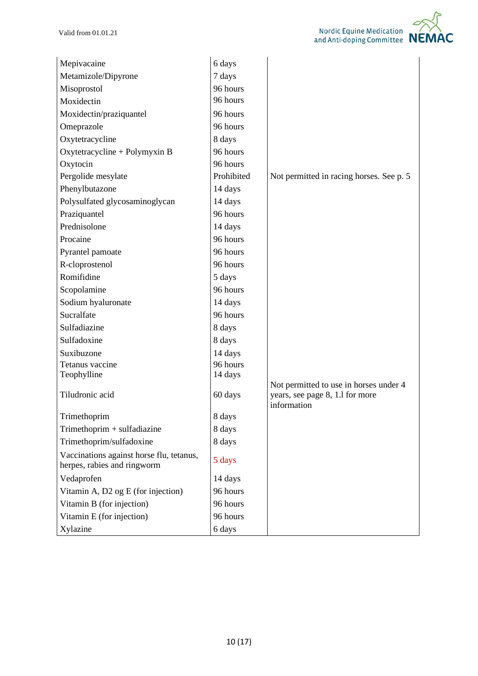| Mepivacaine                                                             | 6 days     |                                                                                          |
|-------------------------------------------------------------------------|------------|------------------------------------------------------------------------------------------|
| Metamizole/Dipyrone                                                     | 7 days     |                                                                                          |
| Misoprostol                                                             | 96 hours   |                                                                                          |
| Moxidectin                                                              | 96 hours   |                                                                                          |
| Moxidectin/praziquantel                                                 | 96 hours   |                                                                                          |
| Omeprazole                                                              | 96 hours   |                                                                                          |
| Oxytetracycline                                                         | 8 days     |                                                                                          |
| Oxytetracycline + Polymyxin B                                           | 96 hours   |                                                                                          |
| Oxytocin                                                                | 96 hours   |                                                                                          |
| Pergolide mesylate                                                      | Prohibited | Not permitted in racing horses. See p. 5                                                 |
| Phenylbutazone                                                          | 14 days    |                                                                                          |
| Polysulfated glycosaminoglycan                                          | 14 days    |                                                                                          |
| Praziquantel                                                            | 96 hours   |                                                                                          |
| Prednisolone                                                            | 14 days    |                                                                                          |
| Procaine                                                                | 96 hours   |                                                                                          |
| Pyrantel pamoate                                                        | 96 hours   |                                                                                          |
| R-cloprostenol                                                          | 96 hours   |                                                                                          |
| Romifidine                                                              | 5 days     |                                                                                          |
| Scopolamine                                                             | 96 hours   |                                                                                          |
| Sodium hyaluronate                                                      | 14 days    |                                                                                          |
| Sucralfate                                                              | 96 hours   |                                                                                          |
| Sulfadiazine                                                            | 8 days     |                                                                                          |
| Sulfadoxine                                                             | 8 days     |                                                                                          |
| Suxibuzone                                                              | 14 days    |                                                                                          |
| Tetanus vaccine                                                         | 96 hours   |                                                                                          |
| Teophylline                                                             | 14 days    |                                                                                          |
| Tiludronic acid                                                         | 60 days    | Not permitted to use in horses under 4<br>years, see page 8, 1.1 for more<br>information |
| Trimethoprim                                                            | 8 days     |                                                                                          |
| Trimethoprim + sulfadiazine                                             | 8 days     |                                                                                          |
| Trimethoprim/sulfadoxine                                                | 8 days     |                                                                                          |
| Vaccinations against horse flu, tetanus,<br>herpes, rabies and ringworm | 5 days     |                                                                                          |
| Vedaprofen                                                              | 14 days    |                                                                                          |
| Vitamin A, D2 og E (for injection)                                      | 96 hours   |                                                                                          |
| Vitamin B (for injection)                                               | 96 hours   |                                                                                          |
| Vitamin E (for injection)                                               | 96 hours   |                                                                                          |
| Xylazine                                                                | 6 days     |                                                                                          |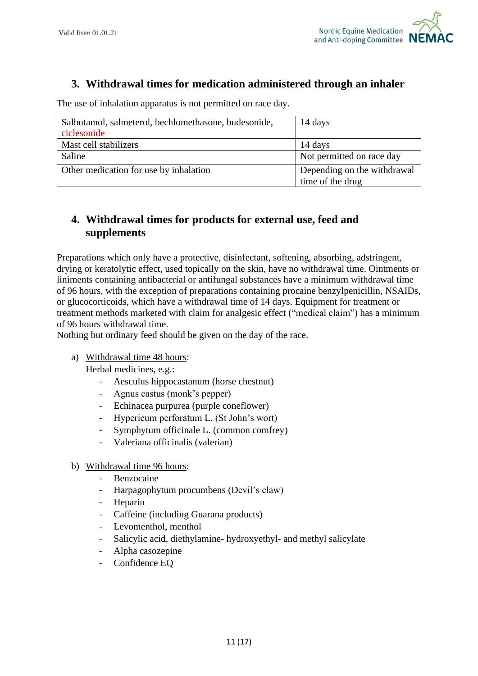

## **3. Withdrawal times for medication administered through an inhaler**

The use of inhalation apparatus is not permitted on race day.

| Salbutamol, salmeterol, bechlomethasone, budesonide,<br>ciclesonide | 14 days                     |
|---------------------------------------------------------------------|-----------------------------|
| Mast cell stabilizers                                               | 14 days                     |
| Saline                                                              | Not permitted on race day   |
| Other medication for use by inhalation                              | Depending on the withdrawal |
|                                                                     | time of the drug            |

## **4. Withdrawal times for products for external use, feed and supplements**

Preparations which only have a protective, disinfectant, softening, absorbing, adstringent, drying or keratolytic effect, used topically on the skin, have no withdrawal time. Ointments or liniments containing antibacterial or antifungal substances have a minimum withdrawal time of 96 hours, with the exception of preparations containing procaine benzylpenicillin, NSAIDs, or glucocorticoids, which have a withdrawal time of 14 days. Equipment for treatment or treatment methods marketed with claim for analgesic effect ("medical claim") has a minimum of 96 hours withdrawal time.

Nothing but ordinary feed should be given on the day of the race.

a) Withdrawal time 48 hours:

Herbal medicines, e.g.:

- Aesculus hippocastanum (horse chestnut)
- Agnus castus (monk's pepper)
- Echinacea purpurea (purple coneflower)
- Hypericum perforatum L. (St John's wort)
- Symphytum officinale L. (common comfrey)
- Valeriana officinalis (valerian)
- b) Withdrawal time 96 hours:
	- Benzocaine
	- Harpagophytum procumbens (Devil's claw)
	- **Heparin**
	- Caffeine (including Guarana products)
	- Levomenthol, menthol
	- Salicylic acid, diethylamine- hydroxyethyl- and methyl salicylate
	- Alpha casozepine
	- Confidence EQ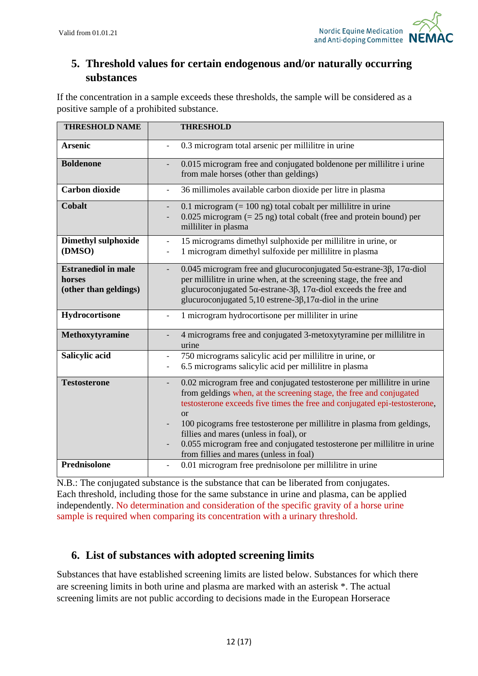

## **5. Threshold values for certain endogenous and/or naturally occurring substances**

If the concentration in a sample exceeds these thresholds, the sample will be considered as a positive sample of a prohibited substance.

| <b>THRESHOLD NAME</b>                                         | <b>THRESHOLD</b>                                                                                                                                                                                                                                                                                                                                                                                                                                                                     |
|---------------------------------------------------------------|--------------------------------------------------------------------------------------------------------------------------------------------------------------------------------------------------------------------------------------------------------------------------------------------------------------------------------------------------------------------------------------------------------------------------------------------------------------------------------------|
| <b>Arsenic</b>                                                | 0.3 microgram total arsenic per millilitre in urine                                                                                                                                                                                                                                                                                                                                                                                                                                  |
| <b>Boldenone</b>                                              | 0.015 microgram free and conjugated boldenone per millilitre i urine<br>from male horses (other than geldings)                                                                                                                                                                                                                                                                                                                                                                       |
| <b>Carbon dioxide</b>                                         | 36 millimoles available carbon dioxide per litre in plasma<br>$\blacksquare$                                                                                                                                                                                                                                                                                                                                                                                                         |
| <b>Cobalt</b>                                                 | 0.1 microgram $(= 100 \text{ ng})$ total cobalt per millilitre in urine<br>$\overline{\phantom{a}}$<br>$0.025$ microgram (= 25 ng) total cobalt (free and protein bound) per<br>$\overline{\phantom{a}}$<br>milliliter in plasma                                                                                                                                                                                                                                                     |
| <b>Dimethyl sulphoxide</b><br>(DMSO)                          | 15 micrograms dimethyl sulphoxide per millilitre in urine, or<br>$\blacksquare$<br>1 microgram dimethyl sulfoxide per millilitre in plasma<br>$\overline{\phantom{a}}$                                                                                                                                                                                                                                                                                                               |
| <b>Estranediol in male</b><br>horses<br>(other than geldings) | 0.045 microgram free and glucuroconjugated $5\alpha$ -estrane-3 $\beta$ , 17 $\alpha$ -diol<br>$\overline{\phantom{a}}$<br>per millilitre in urine when, at the screening stage, the free and<br>glucuroconjugated $5\alpha$ -estrane-3 $\beta$ , 17 $\alpha$ -diol exceeds the free and<br>glucuroconjugated 5,10 estrene-3 $\beta$ ,17 $\alpha$ -diol in the urine                                                                                                                 |
| Hydrocortisone                                                | 1 microgram hydrocortisone per milliliter in urine<br>$\frac{1}{2}$                                                                                                                                                                                                                                                                                                                                                                                                                  |
| Methoxytyramine                                               | 4 micrograms free and conjugated 3-metoxytyramine per millilitre in<br>urine                                                                                                                                                                                                                                                                                                                                                                                                         |
| Salicylic acid                                                | 750 micrograms salicylic acid per millilitre in urine, or<br>$\blacksquare$<br>6.5 micrograms salicylic acid per millilitre in plasma<br>$\overline{\phantom{a}}$                                                                                                                                                                                                                                                                                                                    |
| <b>Testosterone</b>                                           | 0.02 microgram free and conjugated testosterone per millilitre in urine<br>from geldings when, at the screening stage, the free and conjugated<br>testosterone exceeds five times the free and conjugated epi-testosterone,<br><b>or</b><br>100 picograms free testosterone per millilitre in plasma from geldings,<br>fillies and mares (unless in foal), or<br>0.055 microgram free and conjugated testosterone per millilitre in urine<br>from fillies and mares (unless in foal) |
| Prednisolone                                                  | 0.01 microgram free prednisolone per millilitre in urine                                                                                                                                                                                                                                                                                                                                                                                                                             |

N.B.: The conjugated substance is the substance that can be liberated from conjugates. Each threshold, including those for the same substance in urine and plasma, can be applied independently. No determination and consideration of the specific gravity of a horse urine sample is required when comparing its concentration with a urinary threshold.

## **6. List of substances with adopted screening limits**

Substances that have established screening limits are listed below. Substances for which there are screening limits in both urine and plasma are marked with an asterisk \*. The actual screening limits are not public according to decisions made in the European Horserace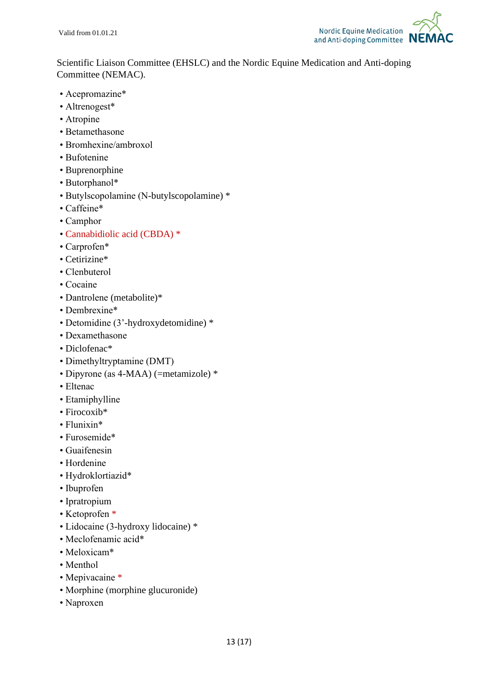

Scientific Liaison Committee (EHSLC) and the Nordic Equine Medication and Anti-doping Committee (NEMAC).

- Acepromazine\*
- Altrenogest\*
- Atropine
- Betamethasone
- Bromhexine/ambroxol
- Bufotenine
- Buprenorphine
- Butorphanol\*
- Butylscopolamine (N-butylscopolamine) \*
- Caffeine\*
- Camphor
- Cannabidiolic acid (CBDA) \*
- Carprofen\*
- Cetirizine\*
- Clenbuterol
- Cocaine
- Dantrolene (metabolite)\*
- Dembrexine\*
- Detomidine (3'-hydroxydetomidine) \*
- Dexamethasone
- Diclofenac\*
- Dimethyltryptamine (DMT)
- Dipyrone (as 4-MAA) (=metamizole) \*
- Eltenac
- Etamiphylline
- Firocoxib<sup>\*</sup>
- Flunixin\*
- Furosemide\*
- Guaifenesin
- Hordenine
- Hydroklortiazid\*
- Ibuprofen
- Ipratropium
- Ketoprofen \*
- Lidocaine (3-hydroxy lidocaine) \*
- Meclofenamic acid\*
- Meloxicam\*
- Menthol
- Mepivacaine \*
- Morphine (morphine glucuronide)
- Naproxen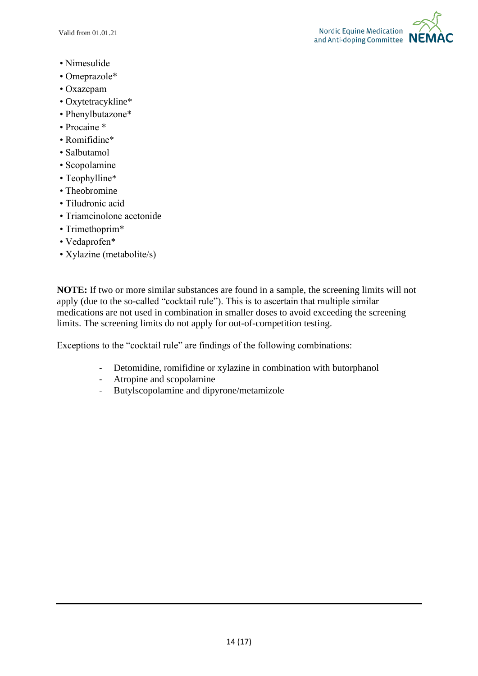Valid from 01.01.21



- Nimesulide
- Omeprazole\*
- Oxazepam
- Oxytetracykline\*
- Phenylbutazone\*
- Procaine \*
- Romifidine\*
- Salbutamol
- Scopolamine
- Teophylline\*
- Theobromine
- Tiludronic acid
- Triamcinolone acetonide
- Trimethoprim\*
- Vedaprofen\*
- Xylazine (metabolite/s)

**NOTE:** If two or more similar substances are found in a sample, the screening limits will not apply (due to the so-called "cocktail rule"). This is to ascertain that multiple similar medications are not used in combination in smaller doses to avoid exceeding the screening limits. The screening limits do not apply for out-of-competition testing.

Exceptions to the "cocktail rule" are findings of the following combinations:

- Detomidine, romifidine or xylazine in combination with butorphanol
- Atropine and scopolamine
- Butylscopolamine and dipyrone/metamizole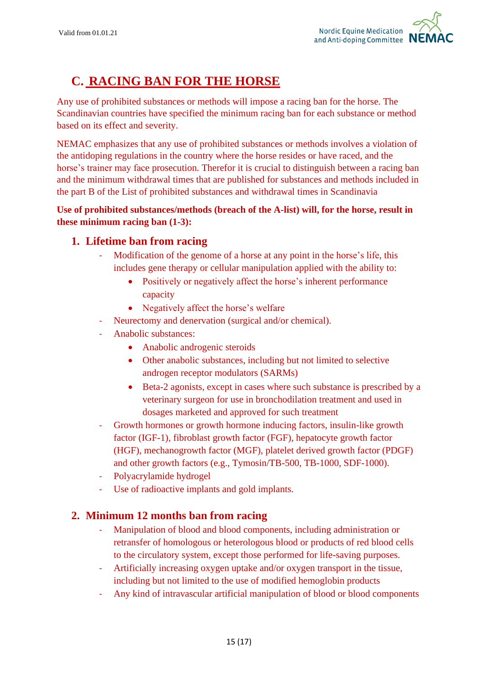

# **C. RACING BAN FOR THE HORSE**

Any use of prohibited substances or methods will impose a racing ban for the horse. The Scandinavian countries have specified the minimum racing ban for each substance or method based on its effect and severity.

NEMAC emphasizes that any use of prohibited substances or methods involves a violation of the antidoping regulations in the country where the horse resides or have raced, and the horse's trainer may face prosecution. Therefor it is crucial to distinguish between a racing ban and the minimum withdrawal times that are published for substances and methods included in the part B of the List of prohibited substances and withdrawal times in Scandinavia

## **Use of prohibited substances/methods (breach of the A-list) will, for the horse, result in these minimum racing ban (1-3):**

## **1. Lifetime ban from racing**

- Modification of the genome of a horse at any point in the horse's life, this includes gene therapy or cellular manipulation applied with the ability to:
	- Positively or negatively affect the horse's inherent performance capacity
	- Negatively affect the horse's welfare
- Neurectomy and denervation (surgical and/or chemical).
- Anabolic substances:
	- Anabolic androgenic steroids
	- Other anabolic substances, including but not limited to selective androgen receptor modulators (SARMs)
	- Beta-2 agonists, except in cases where such substance is prescribed by a veterinary surgeon for use in bronchodilation treatment and used in dosages marketed and approved for such treatment
- Growth hormones or growth hormone inducing factors, insulin-like growth factor (IGF-1), fibroblast growth factor (FGF), hepatocyte growth factor (HGF), mechanogrowth factor (MGF), platelet derived growth factor (PDGF) and other growth factors (e.g., Tymosin/TB-500, TB-1000, SDF-1000).
- Polyacrylamide hydrogel
- Use of radioactive implants and gold implants.

## **2. Minimum 12 months ban from racing**

- Manipulation of blood and blood components, including administration or retransfer of homologous or heterologous blood or products of red blood cells to the circulatory system, except those performed for life-saving purposes.
- Artificially increasing oxygen uptake and/or oxygen transport in the tissue, including but not limited to the use of modified hemoglobin products
- Any kind of intravascular artificial manipulation of blood or blood components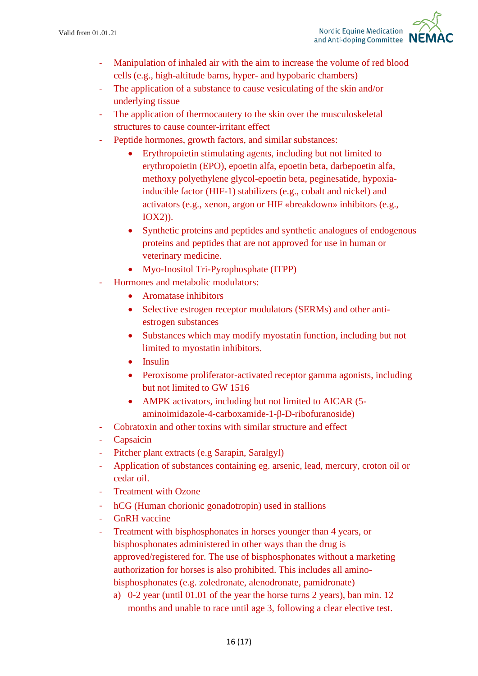- Manipulation of inhaled air with the aim to increase the volume of red blood cells (e.g., high-altitude barns, hyper- and hypobaric chambers)
- The application of a substance to cause vesiculating of the skin and/or underlying tissue
- The application of thermocautery to the skin over the musculoskeletal structures to cause counter-irritant effect
- Peptide hormones, growth factors, and similar substances:
	- Erythropoietin stimulating agents, including but not limited to erythropoietin (EPO), epoetin alfa, epoetin beta, darbepoetin alfa, methoxy polyethylene glycol-epoetin beta, peginesatide, hypoxiainducible factor (HIF-1) stabilizers (e.g., cobalt and nickel) and activators (e.g., xenon, argon or HIF «breakdown» inhibitors (e.g., IOX2)).
	- Synthetic proteins and peptides and synthetic analogues of endogenous proteins and peptides that are not approved for use in human or veterinary medicine.
	- Myo-Inositol Tri-Pyrophosphate (ITPP)
- Hormones and metabolic modulators:
	- Aromatase inhibitors
	- Selective estrogen receptor modulators (SERMs) and other antiestrogen substances
	- Substances which may modify myostatin function, including but not limited to myostatin inhibitors.
	- Insulin
	- Peroxisome proliferator-activated receptor gamma agonists, including but not limited to GW 1516
	- AMPK activators, including but not limited to AICAR (5aminoimidazole-4-carboxamide-1-β-D-ribofuranoside)
- Cobratoxin and other toxins with similar structure and effect
- **Capsaicin**
- Pitcher plant extracts (e.g Sarapin, Saralgyl)
- Application of substances containing eg. arsenic, lead, mercury, croton oil or cedar oil.
- **Treatment with Ozone**
- hCG (Human chorionic gonadotropin) used in stallions
- GnRH vaccine
- Treatment with bisphosphonates in horses younger than 4 years, or bisphosphonates administered in other ways than the drug is approved/registered for. The use of bisphosphonates without a marketing authorization for horses is also prohibited. This includes all aminobisphosphonates (e.g. zoledronate, alenodronate, pamidronate)
	- a) 0-2 year (until 01.01 of the year the horse turns 2 years), ban min. 12 months and unable to race until age 3, following a clear elective test.